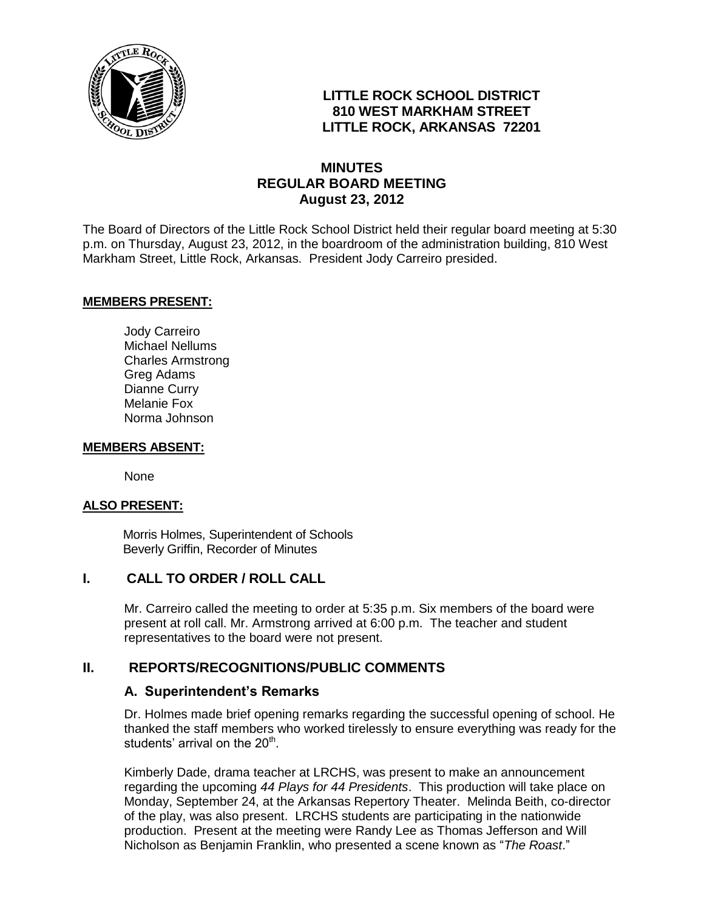

## **LITTLE ROCK SCHOOL DISTRICT 810 WEST MARKHAM STREET LITTLE ROCK, ARKANSAS 72201**

## **MINUTES REGULAR BOARD MEETING August 23, 2012**

The Board of Directors of the Little Rock School District held their regular board meeting at 5:30 p.m. on Thursday, August 23, 2012, in the boardroom of the administration building, 810 West Markham Street, Little Rock, Arkansas. President Jody Carreiro presided.

#### **MEMBERS PRESENT:**

Jody Carreiro Michael Nellums Charles Armstrong Greg Adams Dianne Curry Melanie Fox Norma Johnson

#### **MEMBERS ABSENT:**

None

#### **ALSO PRESENT:**

 Morris Holmes, Superintendent of Schools Beverly Griffin, Recorder of Minutes

## **I. CALL TO ORDER / ROLL CALL**

Mr. Carreiro called the meeting to order at 5:35 p.m. Six members of the board were present at roll call. Mr. Armstrong arrived at 6:00 p.m. The teacher and student representatives to the board were not present.

#### **II. REPORTS/RECOGNITIONS/PUBLIC COMMENTS**

#### **A. Superintendent's Remarks**

Dr. Holmes made brief opening remarks regarding the successful opening of school. He thanked the staff members who worked tirelessly to ensure everything was ready for the students' arrival on the 20<sup>th</sup>.

Kimberly Dade, drama teacher at LRCHS, was present to make an announcement regarding the upcoming *44 Plays for 44 Presidents*. This production will take place on Monday, September 24, at the Arkansas Repertory Theater. Melinda Beith, co-director of the play, was also present. LRCHS students are participating in the nationwide production. Present at the meeting were Randy Lee as Thomas Jefferson and Will Nicholson as Benjamin Franklin, who presented a scene known as "*The Roast*."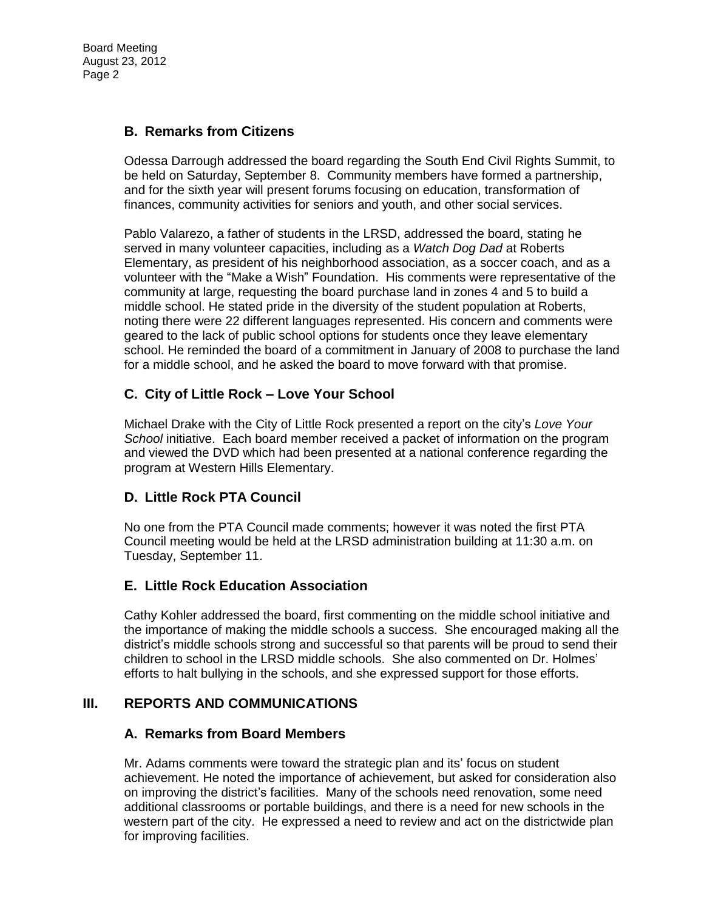# **B. Remarks from Citizens**

Odessa Darrough addressed the board regarding the South End Civil Rights Summit, to be held on Saturday, September 8. Community members have formed a partnership, and for the sixth year will present forums focusing on education, transformation of finances, community activities for seniors and youth, and other social services.

Pablo Valarezo, a father of students in the LRSD, addressed the board, stating he served in many volunteer capacities, including as a *Watch Dog Dad* at Roberts Elementary, as president of his neighborhood association, as a soccer coach, and as a volunteer with the "Make a Wish" Foundation. His comments were representative of the community at large, requesting the board purchase land in zones 4 and 5 to build a middle school. He stated pride in the diversity of the student population at Roberts, noting there were 22 different languages represented. His concern and comments were geared to the lack of public school options for students once they leave elementary school. He reminded the board of a commitment in January of 2008 to purchase the land for a middle school, and he asked the board to move forward with that promise.

# **C. City of Little Rock – Love Your School**

Michael Drake with the City of Little Rock presented a report on the city's *Love Your School* initiative. Each board member received a packet of information on the program and viewed the DVD which had been presented at a national conference regarding the program at Western Hills Elementary.

## **D. Little Rock PTA Council**

No one from the PTA Council made comments; however it was noted the first PTA Council meeting would be held at the LRSD administration building at 11:30 a.m. on Tuesday, September 11.

## **E. Little Rock Education Association**

Cathy Kohler addressed the board, first commenting on the middle school initiative and the importance of making the middle schools a success. She encouraged making all the district's middle schools strong and successful so that parents will be proud to send their children to school in the LRSD middle schools. She also commented on Dr. Holmes' efforts to halt bullying in the schools, and she expressed support for those efforts.

## **III. REPORTS AND COMMUNICATIONS**

## **A. Remarks from Board Members**

Mr. Adams comments were toward the strategic plan and its' focus on student achievement. He noted the importance of achievement, but asked for consideration also on improving the district's facilities. Many of the schools need renovation, some need additional classrooms or portable buildings, and there is a need for new schools in the western part of the city. He expressed a need to review and act on the districtwide plan for improving facilities.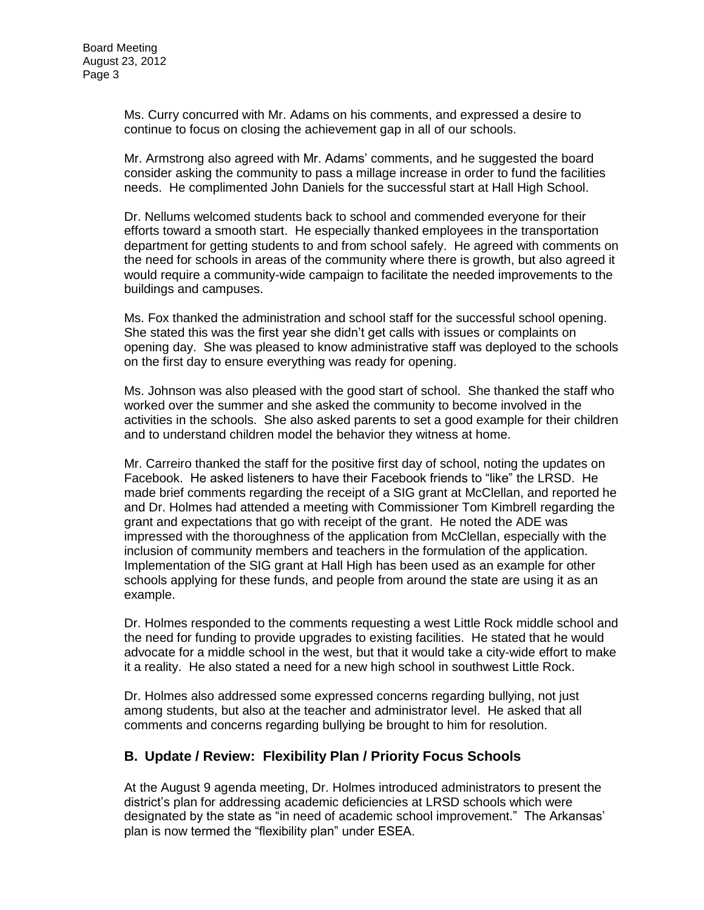Ms. Curry concurred with Mr. Adams on his comments, and expressed a desire to continue to focus on closing the achievement gap in all of our schools.

Mr. Armstrong also agreed with Mr. Adams' comments, and he suggested the board consider asking the community to pass a millage increase in order to fund the facilities needs. He complimented John Daniels for the successful start at Hall High School.

Dr. Nellums welcomed students back to school and commended everyone for their efforts toward a smooth start. He especially thanked employees in the transportation department for getting students to and from school safely. He agreed with comments on the need for schools in areas of the community where there is growth, but also agreed it would require a community-wide campaign to facilitate the needed improvements to the buildings and campuses.

Ms. Fox thanked the administration and school staff for the successful school opening. She stated this was the first year she didn't get calls with issues or complaints on opening day. She was pleased to know administrative staff was deployed to the schools on the first day to ensure everything was ready for opening.

Ms. Johnson was also pleased with the good start of school. She thanked the staff who worked over the summer and she asked the community to become involved in the activities in the schools. She also asked parents to set a good example for their children and to understand children model the behavior they witness at home.

Mr. Carreiro thanked the staff for the positive first day of school, noting the updates on Facebook. He asked listeners to have their Facebook friends to "like" the LRSD. He made brief comments regarding the receipt of a SIG grant at McClellan, and reported he and Dr. Holmes had attended a meeting with Commissioner Tom Kimbrell regarding the grant and expectations that go with receipt of the grant. He noted the ADE was impressed with the thoroughness of the application from McClellan, especially with the inclusion of community members and teachers in the formulation of the application. Implementation of the SIG grant at Hall High has been used as an example for other schools applying for these funds, and people from around the state are using it as an example.

Dr. Holmes responded to the comments requesting a west Little Rock middle school and the need for funding to provide upgrades to existing facilities. He stated that he would advocate for a middle school in the west, but that it would take a city-wide effort to make it a reality. He also stated a need for a new high school in southwest Little Rock.

Dr. Holmes also addressed some expressed concerns regarding bullying, not just among students, but also at the teacher and administrator level. He asked that all comments and concerns regarding bullying be brought to him for resolution.

# **B. Update / Review: Flexibility Plan / Priority Focus Schools**

At the August 9 agenda meeting, Dr. Holmes introduced administrators to present the district's plan for addressing academic deficiencies at LRSD schools which were designated by the state as "in need of academic school improvement." The Arkansas' plan is now termed the "flexibility plan" under ESEA.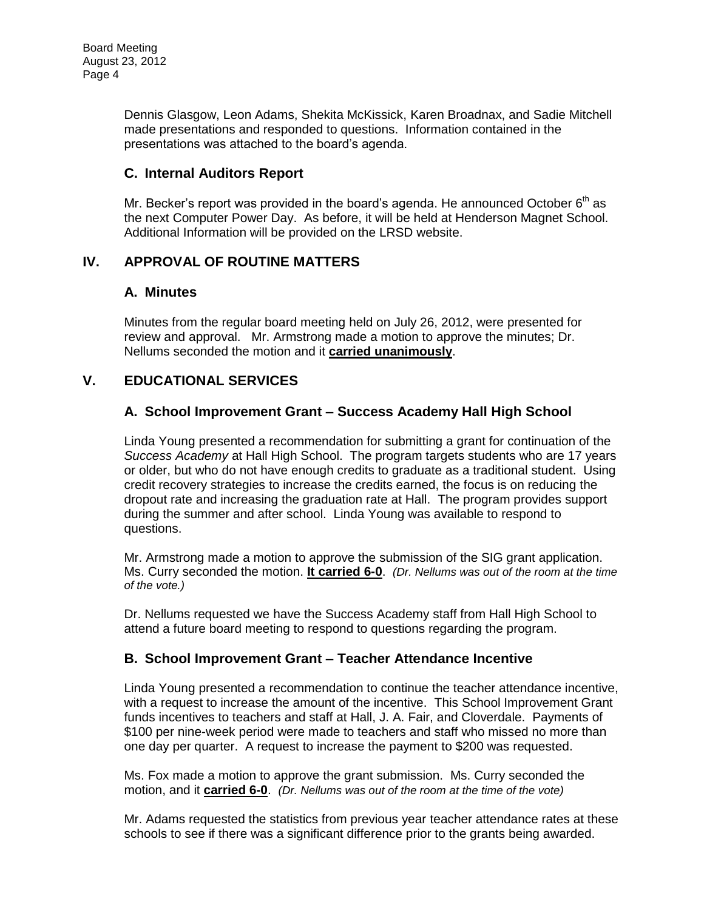Dennis Glasgow, Leon Adams, Shekita McKissick, Karen Broadnax, and Sadie Mitchell made presentations and responded to questions. Information contained in the presentations was attached to the board's agenda.

## **C. Internal Auditors Report**

Mr. Becker's report was provided in the board's agenda. He announced October  $6<sup>th</sup>$  as the next Computer Power Day. As before, it will be held at Henderson Magnet School. Additional Information will be provided on the LRSD website.

## **IV. APPROVAL OF ROUTINE MATTERS**

## **A. Minutes**

Minutes from the regular board meeting held on July 26, 2012, were presented for review and approval. Mr. Armstrong made a motion to approve the minutes; Dr. Nellums seconded the motion and it **carried unanimously**.

# **V. EDUCATIONAL SERVICES**

## **A. School Improvement Grant – Success Academy Hall High School**

Linda Young presented a recommendation for submitting a grant for continuation of the *Success Academy* at Hall High School. The program targets students who are 17 years or older, but who do not have enough credits to graduate as a traditional student. Using credit recovery strategies to increase the credits earned, the focus is on reducing the dropout rate and increasing the graduation rate at Hall. The program provides support during the summer and after school. Linda Young was available to respond to questions.

Mr. Armstrong made a motion to approve the submission of the SIG grant application. Ms. Curry seconded the motion. **It carried 6-0**. *(Dr. Nellums was out of the room at the time of the vote.)*

Dr. Nellums requested we have the Success Academy staff from Hall High School to attend a future board meeting to respond to questions regarding the program.

## **B. School Improvement Grant – Teacher Attendance Incentive**

Linda Young presented a recommendation to continue the teacher attendance incentive, with a request to increase the amount of the incentive. This School Improvement Grant funds incentives to teachers and staff at Hall, J. A. Fair, and Cloverdale. Payments of \$100 per nine-week period were made to teachers and staff who missed no more than one day per quarter. A request to increase the payment to \$200 was requested.

Ms. Fox made a motion to approve the grant submission. Ms. Curry seconded the motion, and it **carried 6-0**. *(Dr. Nellums was out of the room at the time of the vote)*

Mr. Adams requested the statistics from previous year teacher attendance rates at these schools to see if there was a significant difference prior to the grants being awarded.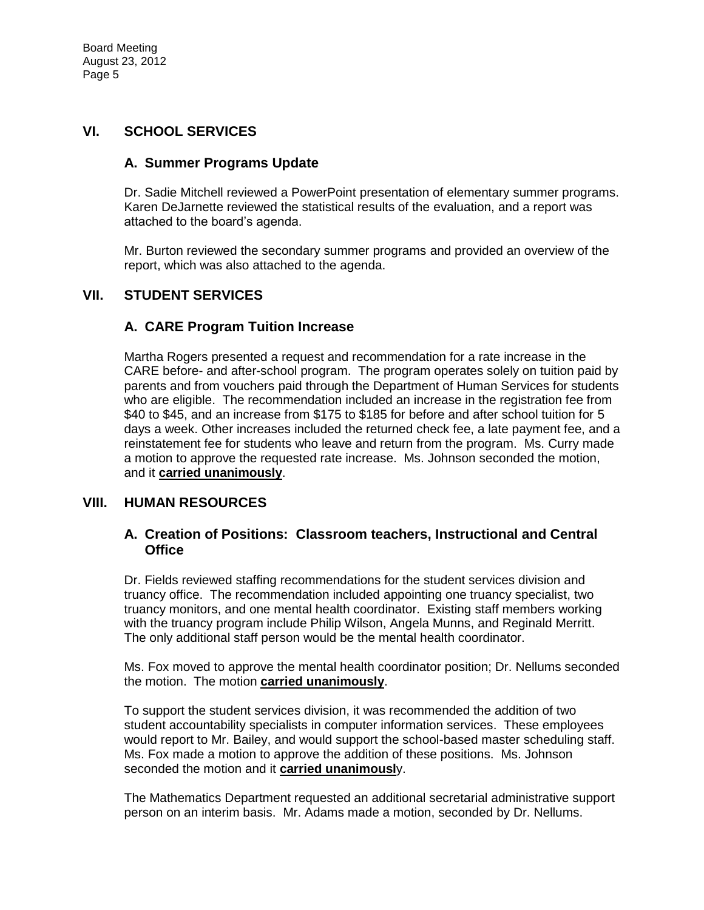## **VI. SCHOOL SERVICES**

#### **A. Summer Programs Update**

Dr. Sadie Mitchell reviewed a PowerPoint presentation of elementary summer programs. Karen DeJarnette reviewed the statistical results of the evaluation, and a report was attached to the board's agenda.

Mr. Burton reviewed the secondary summer programs and provided an overview of the report, which was also attached to the agenda.

### **VII. STUDENT SERVICES**

## **A. CARE Program Tuition Increase**

Martha Rogers presented a request and recommendation for a rate increase in the CARE before- and after-school program. The program operates solely on tuition paid by parents and from vouchers paid through the Department of Human Services for students who are eligible. The recommendation included an increase in the registration fee from \$40 to \$45, and an increase from \$175 to \$185 for before and after school tuition for 5 days a week. Other increases included the returned check fee, a late payment fee, and a reinstatement fee for students who leave and return from the program. Ms. Curry made a motion to approve the requested rate increase. Ms. Johnson seconded the motion, and it **carried unanimously**.

#### **VIII. HUMAN RESOURCES**

#### **A. Creation of Positions: Classroom teachers, Instructional and Central Office**

Dr. Fields reviewed staffing recommendations for the student services division and truancy office. The recommendation included appointing one truancy specialist, two truancy monitors, and one mental health coordinator. Existing staff members working with the truancy program include Philip Wilson, Angela Munns, and Reginald Merritt. The only additional staff person would be the mental health coordinator.

Ms. Fox moved to approve the mental health coordinator position; Dr. Nellums seconded the motion. The motion **carried unanimously**.

To support the student services division, it was recommended the addition of two student accountability specialists in computer information services. These employees would report to Mr. Bailey, and would support the school-based master scheduling staff. Ms. Fox made a motion to approve the addition of these positions. Ms. Johnson seconded the motion and it **carried unanimousl**y.

The Mathematics Department requested an additional secretarial administrative support person on an interim basis. Mr. Adams made a motion, seconded by Dr. Nellums.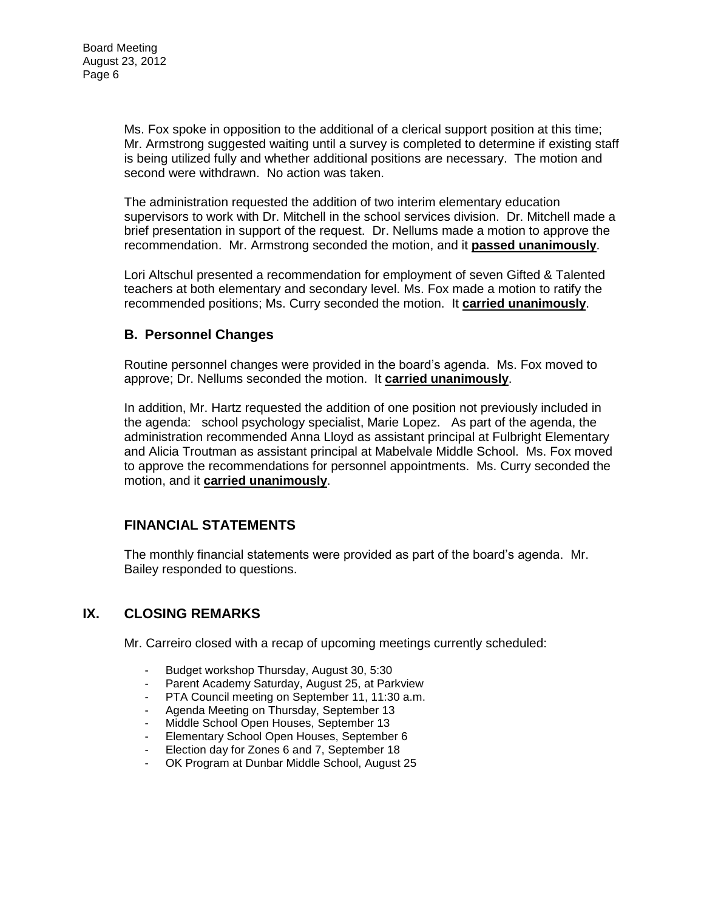Ms. Fox spoke in opposition to the additional of a clerical support position at this time; Mr. Armstrong suggested waiting until a survey is completed to determine if existing staff is being utilized fully and whether additional positions are necessary. The motion and second were withdrawn. No action was taken.

The administration requested the addition of two interim elementary education supervisors to work with Dr. Mitchell in the school services division. Dr. Mitchell made a brief presentation in support of the request. Dr. Nellums made a motion to approve the recommendation. Mr. Armstrong seconded the motion, and it **passed unanimously**.

Lori Altschul presented a recommendation for employment of seven Gifted & Talented teachers at both elementary and secondary level. Ms. Fox made a motion to ratify the recommended positions; Ms. Curry seconded the motion. It **carried unanimously**.

## **B. Personnel Changes**

Routine personnel changes were provided in the board's agenda. Ms. Fox moved to approve; Dr. Nellums seconded the motion. It **carried unanimously**.

In addition, Mr. Hartz requested the addition of one position not previously included in the agenda: school psychology specialist, Marie Lopez. As part of the agenda, the administration recommended Anna Lloyd as assistant principal at Fulbright Elementary and Alicia Troutman as assistant principal at Mabelvale Middle School. Ms. Fox moved to approve the recommendations for personnel appointments. Ms. Curry seconded the motion, and it **carried unanimously**.

## **FINANCIAL STATEMENTS**

The monthly financial statements were provided as part of the board's agenda. Mr. Bailey responded to questions.

## **IX. CLOSING REMARKS**

Mr. Carreiro closed with a recap of upcoming meetings currently scheduled:

- Budget workshop Thursday, August 30, 5:30
- Parent Academy Saturday, August 25, at Parkview
- PTA Council meeting on September 11, 11:30 a.m.
- Agenda Meeting on Thursday, September 13
- Middle School Open Houses, September 13
- Elementary School Open Houses, September 6
- Election day for Zones 6 and 7, September 18
- OK Program at Dunbar Middle School, August 25